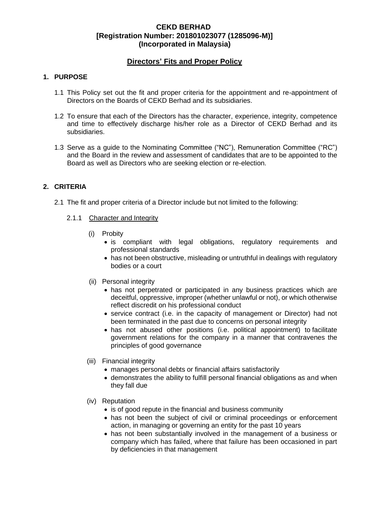## **Directors' Fits and Proper Policy**

#### **1. PURPOSE**

- 1.1 This Policy set out the fit and proper criteria for the appointment and re-appointment of Directors on the Boards of CEKD Berhad and its subsidiaries.
- 1.2 To ensure that each of the Directors has the character, experience, integrity, competence and time to effectively discharge his/her role as a Director of CEKD Berhad and its subsidiaries.
- 1.3 Serve as a guide to the Nominating Committee ("NC"), Remuneration Committee ("RC") and the Board in the review and assessment of candidates that are to be appointed to the Board as well as Directors who are seeking election or re-election.

#### **2. CRITERIA**

- 2.1 The fit and proper criteria of a Director include but not limited to the following:
	- 2.1.1 Character and Integrity
		- (i) Probity
			- is compliant with legal obligations, regulatory requirements and professional standards
			- has not been obstructive, misleading or untruthful in dealings with regulatory bodies or a court
		- (ii) Personal integrity
			- has not perpetrated or participated in any business practices which are deceitful, oppressive, improper (whether unlawful or not), or which otherwise reflect discredit on his professional conduct
			- service contract (i.e. in the capacity of management or Director) had not been terminated in the past due to concerns on personal integrity
			- has not abused other positions (i.e. political appointment) to facilitate government relations for the company in a manner that contravenes the principles of good governance
		- (iii) Financial integrity
			- manages personal debts or financial affairs satisfactorily
			- demonstrates the ability to fulfill personal financial obligations as and when they fall due
		- (iv) Reputation
			- is of good repute in the financial and business community
			- has not been the subject of civil or criminal proceedings or enforcement action, in managing or governing an entity for the past 10 years
			- has not been substantially involved in the management of a business or company which has failed, where that failure has been occasioned in part by deficiencies in that management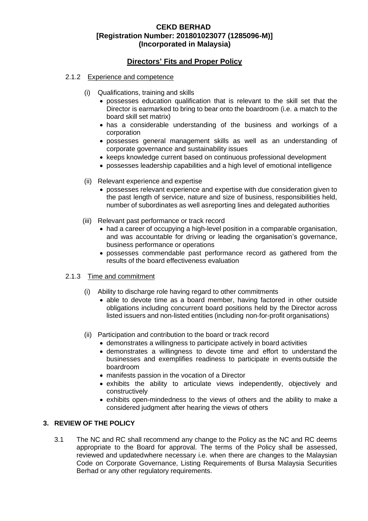## **Directors' Fits and Proper Policy**

- 2.1.2 Experience and competence
	- (i) Qualifications, training and skills
		- possesses education qualification that is relevant to the skill set that the Director is earmarked to bring to bear onto the boardroom (i.e. a match to the board skill set matrix)
		- has a considerable understanding of the business and workings of a corporation
		- possesses general management skills as well as an understanding of corporate governance and sustainability issues
		- keeps knowledge current based on continuous professional development
		- possesses leadership capabilities and a high level of emotional intelligence
	- (ii) Relevant experience and expertise
		- possesses relevant experience and expertise with due consideration given to the past length of service, nature and size of business, responsibilities held, number of subordinates as well asreporting lines and delegated authorities
	- (iii) Relevant past performance or track record
		- had a career of occupying a high-level position in a comparable organisation, and was accountable for driving or leading the organisation's governance, business performance or operations
		- possesses commendable past performance record as gathered from the results of the board effectiveness evaluation

#### 2.1.3 Time and commitment

- (i) Ability to discharge role having regard to other commitments
	- able to devote time as a board member, having factored in other outside obligations including concurrent board positions held by the Director across listed issuers and non-listed entities (including non-for-profit organisations)
- (ii) Participation and contribution to the board or track record
	- demonstrates a willingness to participate actively in board activities
	- demonstrates a willingness to devote time and effort to understand the businesses and exemplifies readiness to participate in events outside the boardroom
	- manifests passion in the vocation of a Director
	- exhibits the ability to articulate views independently, objectively and constructively
	- exhibits open-mindedness to the views of others and the ability to make a considered judgment after hearing the views of others

#### **3. REVIEW OF THE POLICY**

3.1 The NC and RC shall recommend any change to the Policy as the NC and RC deems appropriate to the Board for approval. The terms of the Policy shall be assessed, reviewed and updatedwhere necessary i.e. when there are changes to the Malaysian Code on Corporate Governance, Listing Requirements of Bursa Malaysia Securities Berhad or any other regulatory requirements.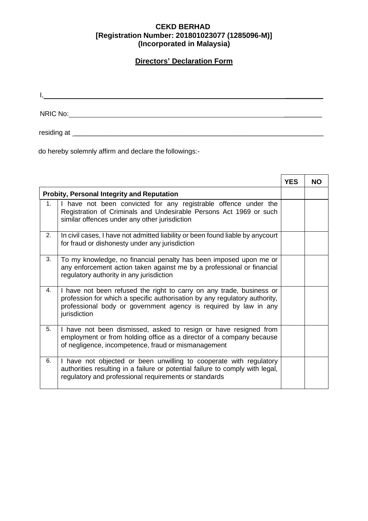# **Directors' Declaration Form**

 $I_{\rm s}$  and  $I_{\rm s}$  are the set of  $I_{\rm s}$  and  $I_{\rm s}$  are the set of  $I_{\rm s}$ 

NRIC No: \_\_\_\_\_\_\_\_\_\_

residing at \_\_\_\_\_\_\_\_\_\_\_\_\_\_\_\_\_\_\_\_\_\_\_\_\_\_\_\_\_\_\_\_\_\_\_\_\_\_\_\_\_\_\_\_\_\_\_\_\_\_\_\_\_\_\_\_\_\_\_\_\_\_\_\_\_\_

do hereby solemnly affirm and declare the followings:-

|                                                   |                                                                                                                                                                                                                                        | <b>YES</b> | <b>NO</b> |
|---------------------------------------------------|----------------------------------------------------------------------------------------------------------------------------------------------------------------------------------------------------------------------------------------|------------|-----------|
| <b>Probity, Personal Integrity and Reputation</b> |                                                                                                                                                                                                                                        |            |           |
| 1.                                                | I have not been convicted for any registrable offence under the<br>Registration of Criminals and Undesirable Persons Act 1969 or such<br>similar offences under any other jurisdiction                                                 |            |           |
| 2.                                                | In civil cases, I have not admitted liability or been found liable by any court<br>for fraud or dishonesty under any jurisdiction                                                                                                      |            |           |
| 3.                                                | To my knowledge, no financial penalty has been imposed upon me or<br>any enforcement action taken against me by a professional or financial<br>regulatory authority in any jurisdiction                                                |            |           |
| 4.                                                | I have not been refused the right to carry on any trade, business or<br>profession for which a specific authorisation by any regulatory authority,<br>professional body or government agency is required by law in any<br>jurisdiction |            |           |
| 5.                                                | I have not been dismissed, asked to resign or have resigned from<br>employment or from holding office as a director of a company because<br>of negligence, incompetence, fraud or mismanagement                                        |            |           |
| 6.                                                | I have not objected or been unwilling to cooperate with regulatory<br>authorities resulting in a failure or potential failure to comply with legal,<br>regulatory and professional requirements or standards                           |            |           |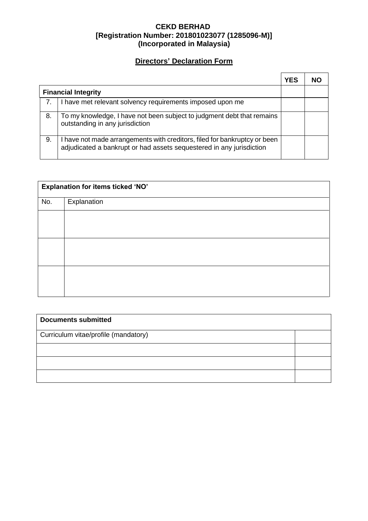# **Directors' Declaration Form**

|                            |                                                                                                                                                   | YES | NΟ |
|----------------------------|---------------------------------------------------------------------------------------------------------------------------------------------------|-----|----|
| <b>Financial Integrity</b> |                                                                                                                                                   |     |    |
| 7.                         | I have met relevant solvency requirements imposed upon me                                                                                         |     |    |
| 8.                         | To my knowledge, I have not been subject to judgment debt that remains<br>outstanding in any jurisdiction                                         |     |    |
| 9.                         | I have not made arrangements with creditors, filed for bankruptcy or been<br>adjudicated a bankrupt or had assets sequestered in any jurisdiction |     |    |

| Explanation for items ticked 'NO' |             |  |  |  |
|-----------------------------------|-------------|--|--|--|
| No.                               | Explanation |  |  |  |
|                                   |             |  |  |  |
|                                   |             |  |  |  |
|                                   |             |  |  |  |
|                                   |             |  |  |  |
|                                   |             |  |  |  |
|                                   |             |  |  |  |

| <b>Documents submitted</b>           |  |  |  |  |
|--------------------------------------|--|--|--|--|
| Curriculum vitae/profile (mandatory) |  |  |  |  |
|                                      |  |  |  |  |
|                                      |  |  |  |  |
|                                      |  |  |  |  |